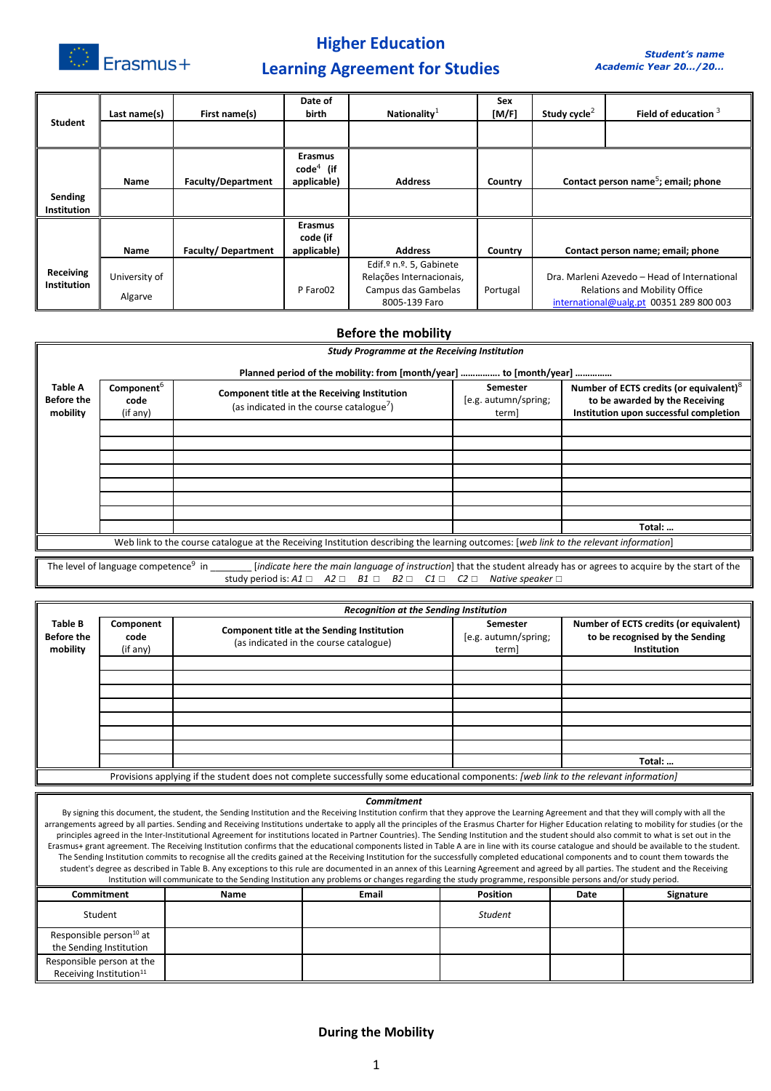

# **Higher Education**

## **Learning Agreement for Studies**

| <b>Student</b>                | Last name(s)  | First name(s)             | Date of<br><b>birth</b>       | Nationality $1$                      | Sex<br>[M/F] | Study cycle <sup>2</sup> | Field of education $3$                                                          |
|-------------------------------|---------------|---------------------------|-------------------------------|--------------------------------------|--------------|--------------------------|---------------------------------------------------------------------------------|
|                               |               |                           |                               |                                      |              |                          |                                                                                 |
|                               |               |                           | <b>Erasmus</b><br>$code4$ (if |                                      |              |                          |                                                                                 |
|                               | Name          | <b>Faculty/Department</b> | applicable)                   | <b>Address</b>                       | Country      |                          | Contact person name <sup>5</sup> ; email; phone                                 |
| Sending<br><b>Institution</b> |               |                           |                               |                                      |              |                          |                                                                                 |
|                               |               |                           | <b>Erasmus</b><br>code (if    |                                      |              |                          |                                                                                 |
|                               | Name          | <b>Faculty/Department</b> | applicable)                   | <b>Address</b>                       | Country      |                          | Contact person name; email; phone                                               |
|                               |               |                           |                               | Edif.º n.º. 5, Gabinete              |              |                          |                                                                                 |
| <b>Receiving</b>              | University of |                           |                               | Relações Internacionais,             |              |                          | Dra. Marleni Azevedo - Head of International                                    |
| <b>Institution</b>            | Algarve       |                           | P Faro02                      | Campus das Gambelas<br>8005-139 Faro | Portugal     |                          | <b>Relations and Mobility Office</b><br>international@ualg.pt 00351 289 800 003 |

#### **Before the mobility** *Study Programme at the Receiving Institution* **Planned period of the mobility: from [month/year] ……………. to [month/year] …………… Table A Before the mobility Component**<sup>6</sup> **code** (if any) **Component title at the Receiving Institution** (as indicated in the course catalogue<sup>7</sup>) **Semester**  [e.g. autumn/spring; term] **Number of ECTS credits (or equivalent)**<sup>8</sup> **to be awarded by the Receiving Institution upon successful completion Total: …** Web link to the course catalogue at the Receiving Institution describing the learning outcomes: [*web link to the relevant information*]

The level of language competence<sup>9</sup> in [*indicate here the main language of instruction*] that the student already has or agrees to acquire by the start of the study period is: *A1* ☐ *A2* ☐ *B1* ☐ *B2* ☐ *C1* ☐ *C2* ☐ *Native speaker* ☐

|                                          | <b>Recognition at the Sending Institution</b> |                                                                                                                                       |                                           |                                                                                          |  |  |  |
|------------------------------------------|-----------------------------------------------|---------------------------------------------------------------------------------------------------------------------------------------|-------------------------------------------|------------------------------------------------------------------------------------------|--|--|--|
| Table B<br><b>Before the</b><br>mobility | Component<br>code<br>(if any)                 | <b>Component title at the Sending Institution</b><br>(as indicated in the course catalogue)                                           | Semester<br>[e.g. autumn/spring;<br>term] | Number of ECTS credits (or equivalent)<br>to be recognised by the Sending<br>Institution |  |  |  |
|                                          |                                               |                                                                                                                                       |                                           |                                                                                          |  |  |  |
|                                          |                                               |                                                                                                                                       |                                           |                                                                                          |  |  |  |
|                                          |                                               |                                                                                                                                       |                                           |                                                                                          |  |  |  |
|                                          |                                               |                                                                                                                                       |                                           |                                                                                          |  |  |  |
|                                          |                                               |                                                                                                                                       |                                           |                                                                                          |  |  |  |
|                                          |                                               |                                                                                                                                       |                                           |                                                                                          |  |  |  |
|                                          |                                               |                                                                                                                                       |                                           |                                                                                          |  |  |  |
|                                          |                                               |                                                                                                                                       |                                           | Total:                                                                                   |  |  |  |
|                                          |                                               | Provisions applying if the student does not complete successfully some educational components: [web link to the relevant information] |                                           |                                                                                          |  |  |  |

#### *Commitment*

By signing this document, the student, the Sending Institution and the Receiving Institution confirm that they approve the Learning Agreement and that they will comply with all the arrangements agreed by all parties. Sending and Receiving Institutions undertake to apply all the principles of the Erasmus Charter for Higher Education relating to mobility for studies (or the principles agreed in the Inter-Institutional Agreement for institutions located in Partner Countries). The Sending Institution and the student should also commit to what is set out in the Erasmus+ grant agreement. The Receiving Institution confirms that the educational components listed in Table A are in line with its course catalogue and should be available to the student. The Sending Institution commits to recognise all the credits gained at the Receiving Institution for the successfully completed educational components and to count them towards the student's degree as described in Table B. Any exceptions to this rule are documented in an annex of this Learning Agreement and agreed by all parties. The student and the Receiving Institution will communicate to the Sending Institution any problems or changes regarding the study programme, responsible persons and/or study period.

|                                                                  |      | $\sim$       | .               |      |           |
|------------------------------------------------------------------|------|--------------|-----------------|------|-----------|
| Commitment                                                       | Name | <b>Email</b> | <b>Position</b> | Date | Signature |
| Student                                                          |      |              | <b>Student</b>  |      |           |
| Responsible person <sup>10</sup> at<br>the Sending Institution   |      |              |                 |      |           |
| Responsible person at the<br>Receiving Institution <sup>11</sup> |      |              |                 |      |           |

### **During the Mobility**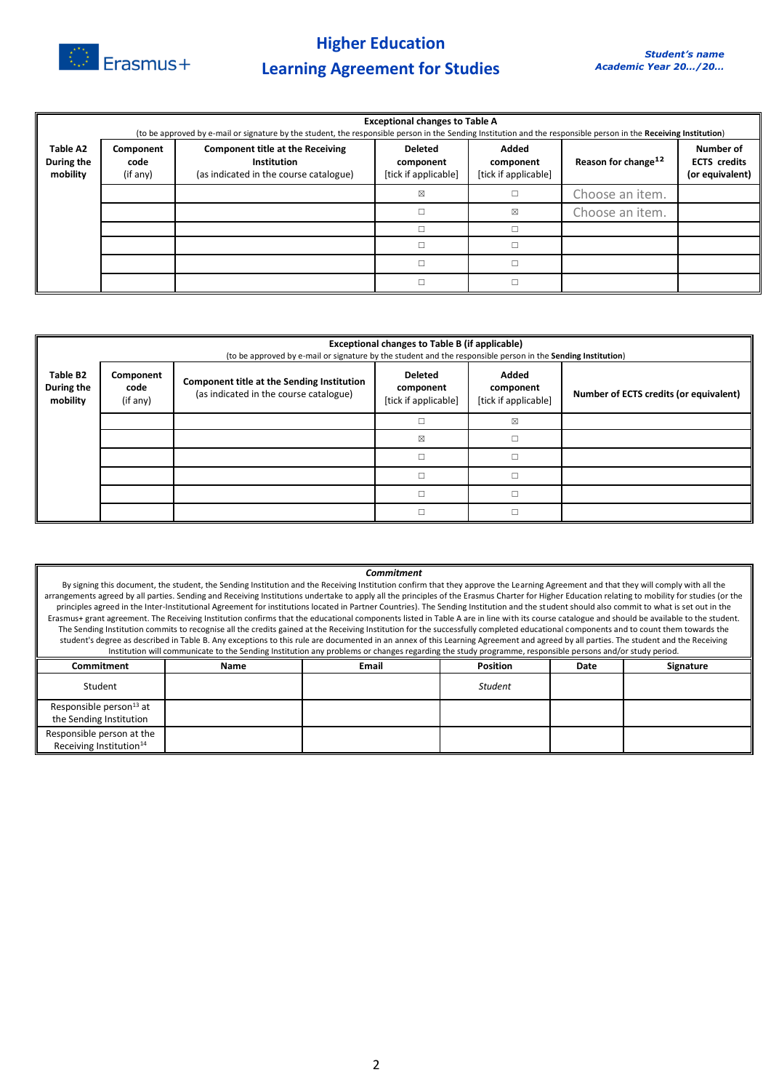

**Higher Education Learning Agreement for Studies** 

|                                    | <b>Exceptional changes to Table A</b><br>(to be approved by e-mail or signature by the student, the responsible person in the Sending Institution and the responsible person in the Receiving Institution) |                                                                                                  |                                                     |                                            |                                 |                                                     |  |
|------------------------------------|------------------------------------------------------------------------------------------------------------------------------------------------------------------------------------------------------------|--------------------------------------------------------------------------------------------------|-----------------------------------------------------|--------------------------------------------|---------------------------------|-----------------------------------------------------|--|
| Table A2<br>During the<br>mobility | Component<br>code<br>(if any)                                                                                                                                                                              | <b>Component title at the Receiving</b><br>Institution<br>(as indicated in the course catalogue) | <b>Deleted</b><br>component<br>[tick if applicable] | Added<br>component<br>[tick if applicable] | Reason for change <sup>12</sup> | Number of<br><b>ECTS</b> credits<br>(or equivalent) |  |
|                                    |                                                                                                                                                                                                            |                                                                                                  | ⊠                                                   |                                            | Choose an item.                 |                                                     |  |
|                                    |                                                                                                                                                                                                            |                                                                                                  |                                                     | X                                          | Choose an item.                 |                                                     |  |
|                                    |                                                                                                                                                                                                            |                                                                                                  |                                                     |                                            |                                 |                                                     |  |
|                                    |                                                                                                                                                                                                            |                                                                                                  |                                                     |                                            |                                 |                                                     |  |
|                                    |                                                                                                                                                                                                            |                                                                                                  |                                                     |                                            |                                 |                                                     |  |
|                                    |                                                                                                                                                                                                            |                                                                                                  |                                                     |                                            |                                 |                                                     |  |

|                                    | Exceptional changes to Table B (if applicable)<br>(to be approved by e-mail or signature by the student and the responsible person in the Sending Institution) |                                                                                      |                                                     |                                            |                                        |  |  |  |
|------------------------------------|----------------------------------------------------------------------------------------------------------------------------------------------------------------|--------------------------------------------------------------------------------------|-----------------------------------------------------|--------------------------------------------|----------------------------------------|--|--|--|
| Table B2<br>During the<br>mobility | Component<br>code<br>(if any)                                                                                                                                  | Component title at the Sending Institution<br>(as indicated in the course catalogue) | <b>Deleted</b><br>component<br>[tick if applicable] | Added<br>component<br>[tick if applicable] | Number of ECTS credits (or equivalent) |  |  |  |
|                                    |                                                                                                                                                                |                                                                                      |                                                     | X                                          |                                        |  |  |  |
|                                    |                                                                                                                                                                |                                                                                      | $\boxtimes$                                         | п                                          |                                        |  |  |  |
|                                    |                                                                                                                                                                |                                                                                      | П                                                   |                                            |                                        |  |  |  |
|                                    |                                                                                                                                                                |                                                                                      |                                                     |                                            |                                        |  |  |  |
|                                    |                                                                                                                                                                |                                                                                      |                                                     |                                            |                                        |  |  |  |
|                                    |                                                                                                                                                                |                                                                                      | П                                                   | п                                          |                                        |  |  |  |

| Commitment                                                                                                                                                                                        |                                                                                                                                                                                             |                                                                                                                                                                                              |                 |      |           |  |  |
|---------------------------------------------------------------------------------------------------------------------------------------------------------------------------------------------------|---------------------------------------------------------------------------------------------------------------------------------------------------------------------------------------------|----------------------------------------------------------------------------------------------------------------------------------------------------------------------------------------------|-----------------|------|-----------|--|--|
| By signing this document, the student, the Sending Institution and the Receiving Institution confirm that they approve the Learning Agreement and that they will comply with all the              |                                                                                                                                                                                             |                                                                                                                                                                                              |                 |      |           |  |  |
| arrangements agreed by all parties. Sending and Receiving Institutions undertake to apply all the principles of the Erasmus Charter for Higher Education relating to mobility for studies (or the |                                                                                                                                                                                             |                                                                                                                                                                                              |                 |      |           |  |  |
|                                                                                                                                                                                                   | principles agreed in the Inter-Institutional Agreement for institutions located in Partner Countries). The Sending Institution and the student should also commit to what is set out in the |                                                                                                                                                                                              |                 |      |           |  |  |
|                                                                                                                                                                                                   |                                                                                                                                                                                             | Erasmus+ grant agreement. The Receiving Institution confirms that the educational components listed in Table A are in line with its course catalogue and should be available to the student. |                 |      |           |  |  |
|                                                                                                                                                                                                   |                                                                                                                                                                                             | The Sending Institution commits to recognise all the credits gained at the Receiving Institution for the successfully completed educational components and to count them towards the         |                 |      |           |  |  |
|                                                                                                                                                                                                   | student's degree as described in Table B. Any exceptions to this rule are documented in an annex of this Learning Agreement and agreed by all parties. The student and the Receiving        |                                                                                                                                                                                              |                 |      |           |  |  |
|                                                                                                                                                                                                   |                                                                                                                                                                                             | Institution will communicate to the Sending Institution any problems or changes regarding the study programme, responsible persons and/or study period.                                      |                 |      |           |  |  |
| Commitment                                                                                                                                                                                        | Name                                                                                                                                                                                        | <b>Email</b>                                                                                                                                                                                 | <b>Position</b> | Date | Signature |  |  |
|                                                                                                                                                                                                   |                                                                                                                                                                                             |                                                                                                                                                                                              |                 |      |           |  |  |
| Student                                                                                                                                                                                           |                                                                                                                                                                                             |                                                                                                                                                                                              | <b>Student</b>  |      |           |  |  |
| Responsible person <sup>13</sup> at                                                                                                                                                               |                                                                                                                                                                                             |                                                                                                                                                                                              |                 |      |           |  |  |
| the Sending Institution                                                                                                                                                                           |                                                                                                                                                                                             |                                                                                                                                                                                              |                 |      |           |  |  |
| Responsible person at the                                                                                                                                                                         |                                                                                                                                                                                             |                                                                                                                                                                                              |                 |      |           |  |  |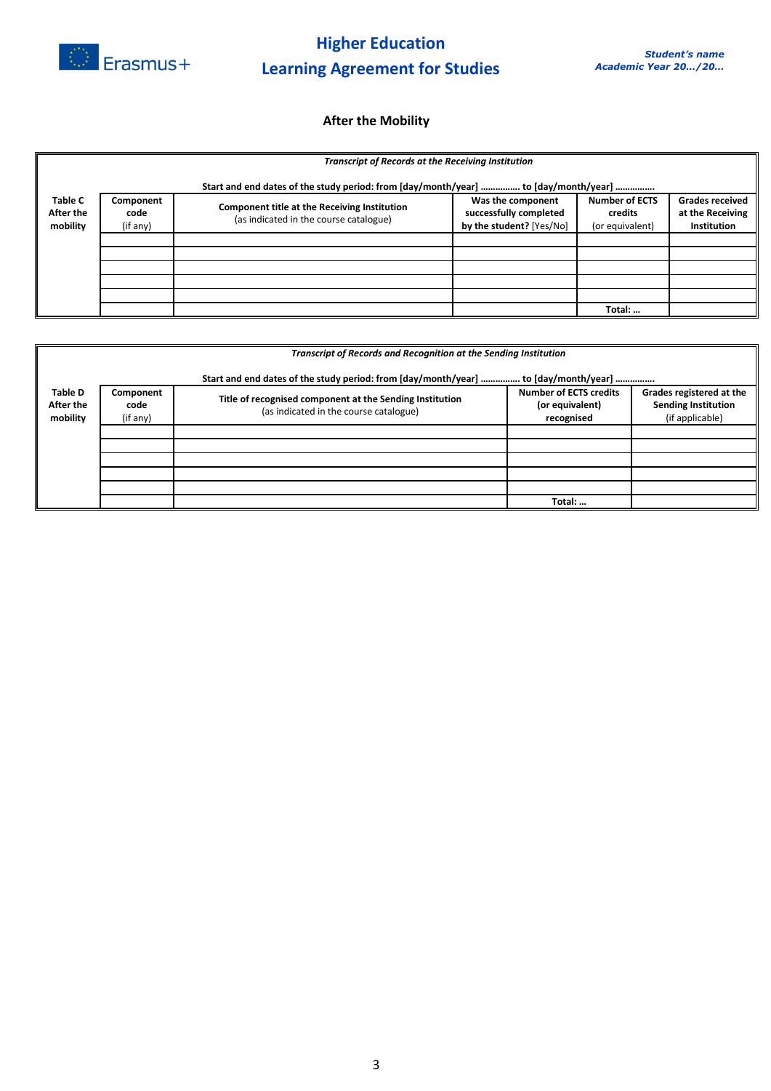

### **After the Mobility**

|                                         | <b>Transcript of Records at the Receiving Institution</b>                           |                                                                                        |                                                                         |                                                     |                                                                  |  |  |
|-----------------------------------------|-------------------------------------------------------------------------------------|----------------------------------------------------------------------------------------|-------------------------------------------------------------------------|-----------------------------------------------------|------------------------------------------------------------------|--|--|
|                                         | Start and end dates of the study period: from [day/month/year]  to [day/month/year] |                                                                                        |                                                                         |                                                     |                                                                  |  |  |
| <b>Table C</b><br>After the<br>mobility | Component<br>code<br>(if any)                                                       | Component title at the Receiving Institution<br>(as indicated in the course catalogue) | Was the component<br>successfully completed<br>by the student? [Yes/No] | <b>Number of ECTS</b><br>credits<br>(or equivalent) | <b>Grades received</b><br>at the Receiving<br><b>Institution</b> |  |  |
|                                         |                                                                                     |                                                                                        |                                                                         |                                                     |                                                                  |  |  |
|                                         |                                                                                     |                                                                                        |                                                                         |                                                     |                                                                  |  |  |
|                                         |                                                                                     |                                                                                        |                                                                         |                                                     |                                                                  |  |  |
|                                         |                                                                                     |                                                                                        |                                                                         |                                                     |                                                                  |  |  |
|                                         |                                                                                     |                                                                                        |                                                                         |                                                     |                                                                  |  |  |
|                                         |                                                                                     |                                                                                        |                                                                         | Total:                                              |                                                                  |  |  |

|                                         | Transcript of Records and Recognition at the Sending Institution |                                                                                                    |                                                                |                                                                           |  |  |  |  |
|-----------------------------------------|------------------------------------------------------------------|----------------------------------------------------------------------------------------------------|----------------------------------------------------------------|---------------------------------------------------------------------------|--|--|--|--|
|                                         |                                                                  | Start and end dates of the study period: from [day/month/year]  to [day/month/year]                |                                                                |                                                                           |  |  |  |  |
| <b>Table D</b><br>After the<br>mobility | Component<br>code<br>(if any)                                    | Title of recognised component at the Sending Institution<br>(as indicated in the course catalogue) | <b>Number of ECTS credits</b><br>(or equivalent)<br>recognised | Grades registered at the<br><b>Sending Institution</b><br>(if applicable) |  |  |  |  |
|                                         |                                                                  |                                                                                                    |                                                                |                                                                           |  |  |  |  |
|                                         |                                                                  |                                                                                                    |                                                                |                                                                           |  |  |  |  |
|                                         |                                                                  |                                                                                                    |                                                                |                                                                           |  |  |  |  |
|                                         |                                                                  |                                                                                                    | Total:                                                         |                                                                           |  |  |  |  |